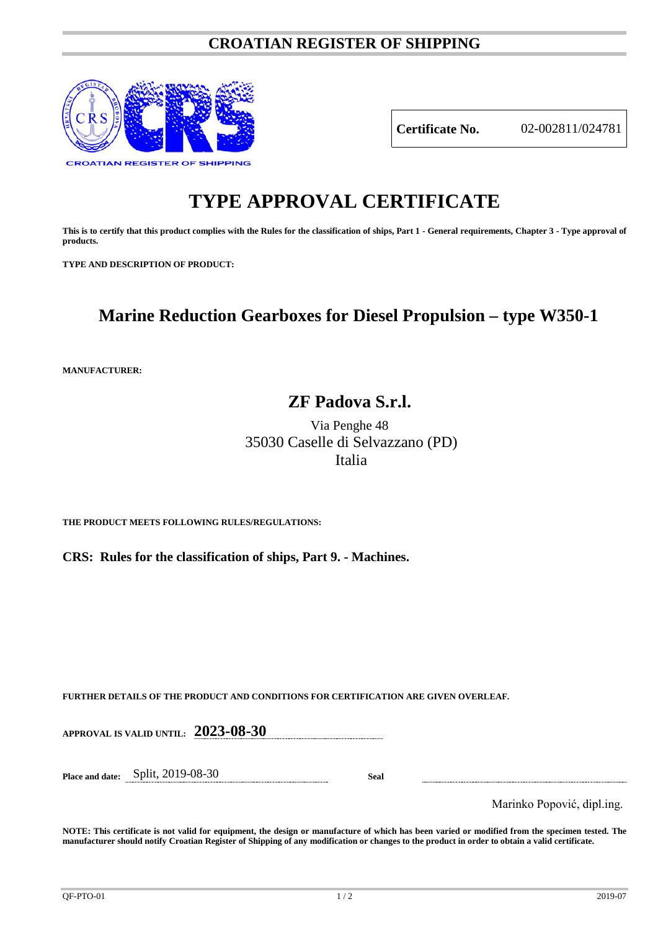### **CROATIAN REGISTER OF SHIPPING**



**Certificate No.** 02-002811/024781

# **TYPE APPROVAL CERTIFICATE**

**This is to certify that this product complies with the Rules for the classification of ships, Part 1 - General requirements, Chapter 3 - Type approval of products.**

**TYPE AND DESCRIPTION OF PRODUCT:** 

## **Marine Reduction Gearboxes for Diesel Propulsion – type W350-1**

**MANUFACTURER:**

## **ZF Padova S.r.l.**

Via Penghe 48 35030 Caselle di Selvazzano (PD) Italia

**THE PRODUCT MEETS FOLLOWING RULES/REGULATIONS:**

**CRS: Rules for the classification of ships, Part 9. - Machines.**

**FURTHER DETAILS OF THE PRODUCT AND CONDITIONS FOR CERTIFICATION ARE GIVEN OVERLEAF.**

**APPROVAL IS VALID UNTIL: 2023-08-30**

**Place and date:** Split, 2019-08-30 **Seal**

Marinko Popović, dipl.ing.

**NOTE: This certificate is not valid for equipment, the design or manufacture of which has been varied or modified from the specimen tested. The manufacturer should notify Croatian Register of Shipping of any modification or changes to the product in order to obtain a valid certificate.**